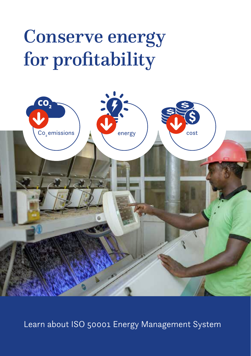# Conserve energy for profitability



Learn about ISO 50001 Energy Management System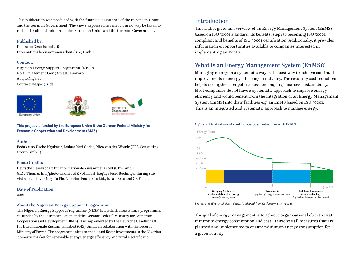This publication was produced with the financial assistance of the European Union and the German Government. The views expressed herein can in no way be taken to reflect the official opinions of the European Union and the German Government.

#### Published by:

Deutsche Gesellschaft für Internationale Zusammenarbeit (GIZ) GmbH

#### Contact:

Nigerian Energy Support Programme (NESP) No 2 Dr. Clement Isong Street, Asokoro Abuja/Nigeria Contact: nesp@giz.de







**This project is funded by the European Union & the German Federal Ministry for Economic Cooperation and Development (BMZ)**

#### Authors:

Bedakaino Usoko Ngubane, Joshua Yari Garba, Nico van der Woude (GFA Consulting Group GmbH)

#### Photo Credits

Deutsche Gesellschaft für Internationale Zusammenarbeit (GIZ) GmbH GIZ / Thomas Imo/photothek.net GIZ / Michael Tsegaye Josef Buchinger during site visits to Unilever Nigeria Plc, Nigerian Foundries Ltd., Jubali Bros and GB Foods.

Date of Publication:

2021

#### About the Nigerian Energy Support Programme:

The Nigerian Energy Support Programme (NESP) is a technical assistance programme, co-funded by the European Union and the German Federal Ministry for Economic Cooperation and Development (BMZ). It is implemented by the Deutsche Gesellschaft für Internationale Zusammenarbeit (GIZ) GmbH in collaboration with the Federal Ministry of Power. The programme aims to enable and foster investments in the Nigerian domestic market for renewable energy, energy efficiency and rural electrification.

## Introduction

This leaflet gives an overview of an Energy Management System (EnMS) based on ISO 50001 standard; its benefits; steps to becoming ISO 50001 compliant and benefits of ISO 50001 certification. Additionally, it provides information on opportunities available to companies interested in implementing an EnMS.

# What is an Energy Management System (EnMS)?

Managing energy in a systematic way is the best way to achieve continual improvements in energy efficiency in industry. The resulting cost reductions help to strengthen competitiveness and ongoing business sustainability. Most companies do not have a systematic approach to improve energy efficiency and would benefit from the integration of an Energy Management System (EnMS) into their facilities e.g. an EnMS based on ISO 50001. This is an integrated and systematic approach to manage energy.

#### *Figure 1.* **Illustration of continuous cost reduction with EnMS**



*Source: CleanEnergy Ministerial (2013), adapted from Kahlenborn et al. (2012).*

The goal of energy management is to achieve organisational objectives at minimum energy consumption and cost. It involves all measures that are planned and implemented to ensure minimum energy consumption for a given activity.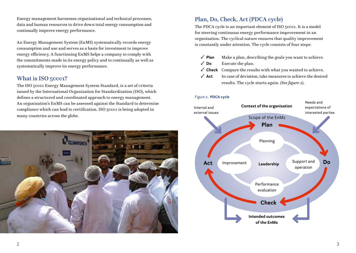Energy management harnesses organisational and technical processes, data and human resources to drive down total energy consumption and continually improve energy performance.

An Energy Management System (EnMS) systematically records energy consumption and use and serves as a basis for investment to improve energy efficiency. A functioning EnMS helps a company to comply with the commitments made in its energy policy and to continually as well as systematically improve its energy performance.

## What is ISO 50001?

The ISO 50001 Energy Management System Standard, is a set of criteria issued by the International Organization for Standardization (ISO), which defines a structured and coordinated approach to energy management. An organisation's EnMS can be assessed against the Standard to determine compliance which can lead to certification. ISO 50001 is being adopted in many countries across the globe.



# Plan, Do, Check, Act (PDCA cycle)

The PDCA cycle is an important element of ISO 50001. It is a model for steering continuous energy performance improvement in an organisation. The cyclical nature ensures that quality improvement is constantly under attention. The cycle consists of four steps:

- ✓ **Plan** Make a plan, describing the goals you want to achieve.
- ✓ **Do** Execute the plan.
- ✓ **Check** Compare the results with what you wanted to achieve.
- ✓ **Act** In case of deviation, take measures to achieve the desired results. The cycle starts again. *(See figure 2)*.

#### *Figure 2.* **PDCA cycle**

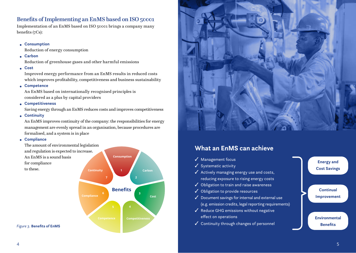## Benefits of Implementing an EnMS based on ISO 50001

Implementation of an EnMS based on ISO 50001 brings a company many benefits (7Cs):

## • **Consumption**

Reduction of energy consumption

• **Carbon**

Reduction of greenhouse gases and other harmful emissions

• **Cost**

 Improved energy performance from an EnMS results in reduced costs which improves profitability, competitiveness and business sustainability

• **Competence**

 An EnMS based on internationally recognised principles is considered as a plus by capital providers

• **Competitiveness**

Saving energy through an EnMS reduces costs and improves competitiveness

• **Continuity**

 An EnMS improves continuity of the company: the responsibilities for energy management are evenly spread in an organisation, because procedures are formalised, and a system is in place

- **Compliance**
- **Continuity** The amount of environmental legislation and regulation is expected to increase. An EnMS is a sound basis for compliance to these.



**Consumption**



# **What an EnMS can achieve**

- ✓ Management focus
- ✓ Systematic activity
- ✓ Actively managing energy use and costs, reducing exposure to rising energy costs
- ✓ Obligation to train and raise awareness
- ✓ Obligation to provide resources
- $\checkmark$  Document savings for internal and external use (e.g. emission credits, legal reporting requirements)
- ✓ Reduce GHG emissions without negative effect on operations
- 

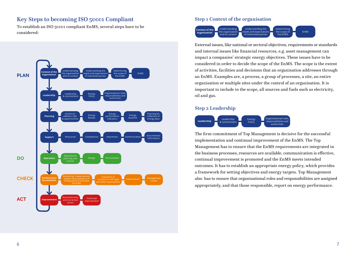## Key Steps to becoming ISO 50001 Compliant

To establish an ISO 50001 compliant EnMS, several steps have to be considered:



## Step 1 Context of the organisation



External issues, like national or sectoral objectives, requirements or standards and internal issues like financial resources, e.g. asset management can impact a companies' strategic energy objectives. These issues have to be considered in order to decide the scope of the EnMS. The scope is the extent of activities, facilities and decisions that an organisation addresses through an EnMS. Examples are, a process, a group of processes, a site, an entire organisation or multiple sites under the control of an organisation. It is important to include in the scope, all sources and fuels such as electricity, oil and gas.

## Step 2 Leadership



The firm commitment of Top Management is decisive for the successful implementation and continual improvement of the EnMS. The Top Management has to ensure that the EnMS requirements are integrated in the business processes, resources are available, communication is effective, continual improvement is promoted and the EnMS meets intended outcomes. It has to establish an appropriate energy policy, which provides a framework for setting objectives and energy targets. Top Management also has to ensure that organisational roles and responsibilities are assigned appropriately, and that those responsible, report on energy performance.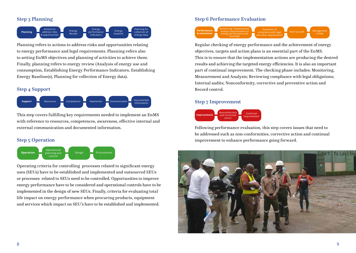## Step 3 Planning



Planning refers to actions to address risks and opportunities relating to energy performance and legal requirements. Planning refers also to setting EnMS objectives and planning of activities to achieve them. Finally, planning refers to energy review (Analysis of energy use and consumption, Establishing Energy Performance Indicators, Establishing Energy Baseline(s), Planning for collection of Energy data).

## Step 4 Support



This step covers fulfilling key requirements needed to implement an EnMS with reference to resources, competences, awareness, effective internal and external communication and documented information.

## Step 5 Operation



Operating criteria for controlling processes related to significant energy uses (SEUs) have to be established and implemented and outsourced SEUs or processes related to SEUs need to be controlled. Opportunities to improve energy performance have to be considered and operational controls have to be implemented in the design of new SEUs. Finally, criteria for evaluating total life impact on energy performance when procuring products, equipment and services which impact on SEU's have to be established and implemented.

## Step 6 Performance Evaluation



Regular checking of energy performance and the achievement of energy objectives, targets and action plans is an essential part of the EnMS. This is to ensure that the implementation actions are producing the desired results and achieving the targeted energy efficiencies. It is also an important part of continual improvement. The checking phase includes: Monitoring, Measurement and Analysis; Reviewing compliance with legal obligations; Internal audits; Nonconformity, corrective and preventive action and Record control.

## Step 7 Improvement



Following performance evaluation, this step covers issues that need to be addressed such as non-conformities, corrective action and continual improvement to enhance performance going forward.

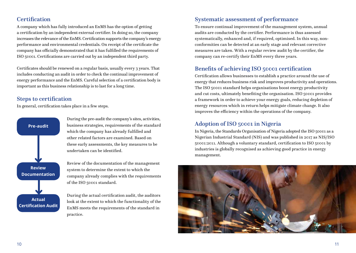## **Certification**

A company which has fully introduced an EnMS has the option of getting a certification by an independent external certifier. In doing so, the company increases the relevance of the EnMS. Certification supports the company's energy performance and environmental credentials. On receipt of the certificate the company has officially demonstrated that it has fulfilled the requirements of ISO 50001. Certifications are carried out by an independent third party.

Certificates should be renewed on a regular basis, usually every 3 years. That includes conducting an audit in order to check the continual improvement of energy performance and the EnMS. Careful selection of a certification body is important as this business relationship is to last for a long time.

## Steps to certification

In general, certification takes place in a few steps.



During the pre-audit the company's sites, activities, business strategies, requirements of the standard which the company has already fulfilled and other related factors are examined. Based on these early assessments, the key measures to be undertaken can be identified.

Review of the documentation of the management system to determine the extent to which the company already complies with the requirements of the ISO 50001 standard.

During the actual certification audit, the auditors look at the extent to which the functionality of the EnMS meets the requirements of the standard in practice.

## Systematic assessment of performance

To ensure continual improvement of the management system, annual audits are conducted by the certifier. Performance is thus assessed systematically, enhanced and, if required, optimised. In this way, nonconformities can be detected at an early stage and relevant corrective measures are taken. With a regular review audit by the certifier, the company can re-certify their EnMS every three years.

# Benefits of achieving ISO 50001 certification

Certification allows businesses to establish a practice around the use of energy that reduces business risk and improves productivity and operations. The ISO 50001 standard helps organisations boost energy productivity and cut costs, ultimately benefiting the organisation. ISO 50001 provides a framework in order to achieve your energy goals, reducing depletion of energy resources which in return helps mitigate climate change. It also improves the efficiency within the operations of the company.

## Adoption of ISO 50001 in Nigeria

In Nigeria, the Standards Organisation of Nigeria adopted the ISO 50001 as a Nigerian Industrial Standard (NIS) and was published in 2017 as NIS/ISO 50001:2011. Although a voluntary standard, certification to ISO 50001 by industries is globally recognised as achieving good practice in energy management.

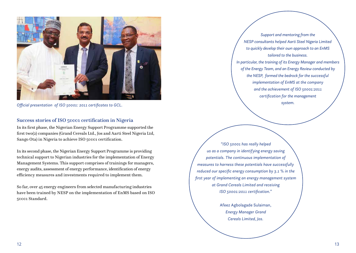

*Official presentation of ISO 50001: 2011 certificates to GCL.*

## Success stories of ISO 50001 certification in Nigeria

In its first phase, the Nigerian Energy Support Programme supported the first two(2) companies (Grand Cereals Ltd., Jos and Aarti Steel Nigeria Ltd, Sango Ota) in Nigeria to achieve ISO 50001 certification.

In its second phase, the Nigerian Energy Support Programme is providing technical support to Nigerian industries for the implementation of Energy Management Systems. This support comprises of trainings for managers, energy audits, assessment of energy performance, identification of energy efficiency measures and investments required to implement them.

So far, over 45 energy engineers from selected manufacturing industries have been trained by NESP on the implementation of EnMS based on ISO 50001 Standard.

*Support and mentoring from the NESP consultants helped Aarti Steel Nigeria Limited to quickly develop their own approach to an EnMS tailored to the business.* 

*In particular, the training of its Energy Manager and members of the Energy Team, and an Energy Review conducted by the NESP, formed the bedrock for the successful implementation of EnMS at the company and the achievement of ISO 50001:2011 certification for the management system.*

*"ISO 50001 has really helped us as a company in identifying energy saving potentials. The continuous implementation of measures to harness these potentials have successfully reduced our specific energy consumption by 3.1 % in the first year of implementing an energy management system at Grand Cereals Limited and receiving ISO 50001:2011 certification."*

> Afeez Agbolagade Sulaiman, *Energy Manager Grand Cereals Limited, Jos.*